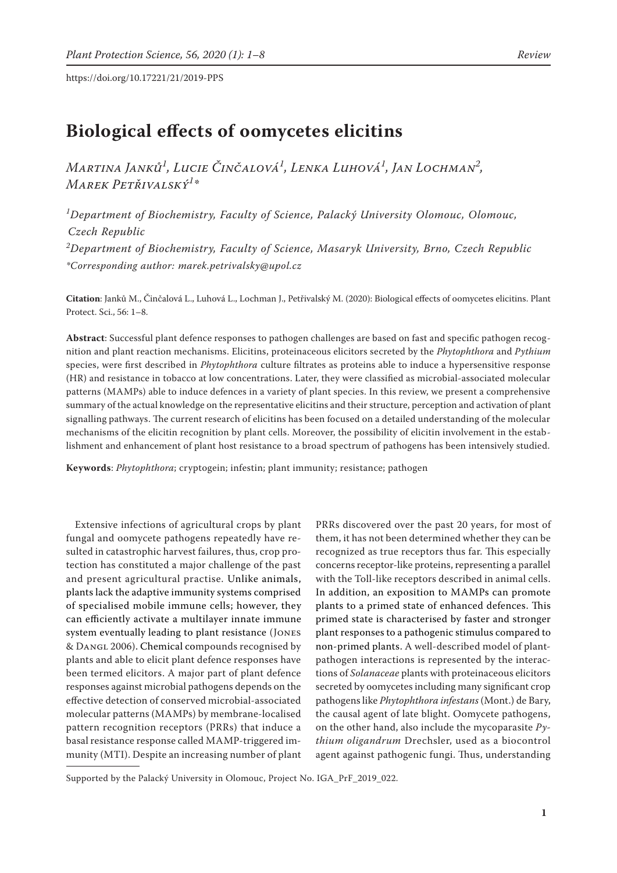# **Biological effects of oomycetes elicitins**

*Martina Janků<sup>1</sup> , Lucie Činčalová<sup>1</sup> , Lenka Luhová<sup>1</sup> , Jan Lochman<sup>2</sup> , Marek Petřivalský<sup>1</sup> \**

*1 Department of Biochemistry, Faculty of Science, Palacký University Olomouc, Olomouc, Czech Republic 2 Department of Biochemistry, Faculty of Science, Masaryk University, Brno, Czech Republic \*Corresponding author: marek.petrivalsky@upol.cz*

**Citation**: Janků M., Činčalová L., Luhová L., Lochman J., Petřivalský M. (2020): Biological effects of oomycetes elicitins. Plant Protect. Sci., 56: 1–8.

**Abstract**: Successful plant defence responses to pathogen challenges are based on fast and specific pathogen recognition and plant reaction mechanisms. Elicitins, proteinaceous elicitors secreted by the *Phytophthora* and *Pythium* species, were first described in *Phytophthora* culture filtrates as proteins able to induce a hypersensitive response (HR) and resistance in tobacco at low concentrations. Later, they were classified as microbial-associated molecular patterns (MAMPs) able to induce defences in a variety of plant species. In this review, we present a comprehensive summary of the actual knowledge on the representative elicitins and their structure, perception and activation of plant signalling pathways. The current research of elicitins has been focused on a detailed understanding of the molecular mechanisms of the elicitin recognition by plant cells. Moreover, the possibility of elicitin involvement in the establishment and enhancement of plant host resistance to a broad spectrum of pathogens has been intensively studied.

**Keywords**: *Phytophthora*; cryptogein; infestin; plant immunity; resistance; pathogen

Extensive infections of agricultural crops by plant fungal and oomycete pathogens repeatedly have resulted in catastrophic harvest failures, thus, crop protection has constituted a major challenge of the past and present agricultural practise. Unlike animals, plants lack the adaptive immunity systems comprised of specialised mobile immune cells; however, they can efficiently activate a multilayer innate immune system eventually leading to plant resistance (Jones & Dangl 2006). Chemical compounds recognised by plants and able to elicit plant defence responses have been termed elicitors. A major part of plant defence responses against microbial pathogens depends on the effective detection of conserved microbial-associated molecular patterns (MAMPs) by membrane-localised pattern recognition receptors (PRRs) that induce a basal resistance response called MAMP-triggered immunity (MTI). Despite an increasing number of plant

PRRs discovered over the past 20 years, for most of them, it has not been determined whether they can be recognized as true receptors thus far. This especially concerns receptor-like proteins, representing a parallel with the Toll-like receptors described in animal cells. In addition, an exposition to MAMPs can promote plants to a primed state of enhanced defences. This primed state is characterised by faster and stronger plant responses to a pathogenic stimulus compared to non-primed plants. A well-described model of plantpathogen interactions is represented by the interactions of *Solanaceae* plants with proteinaceous elicitors secreted by oomycetes including many significant crop pathogens like *Phytophthora infestans* (Mont.) de Bary, the causal agent of late blight. Oomycete pathogens, on the other hand, also include the mycoparasite *Pythium oligandrum* Drechsler, used as a biocontrol agent against pathogenic fungi. Thus, understanding

Supported by the Palacký University in Olomouc, Project No. IGA\_PrF\_2019\_022.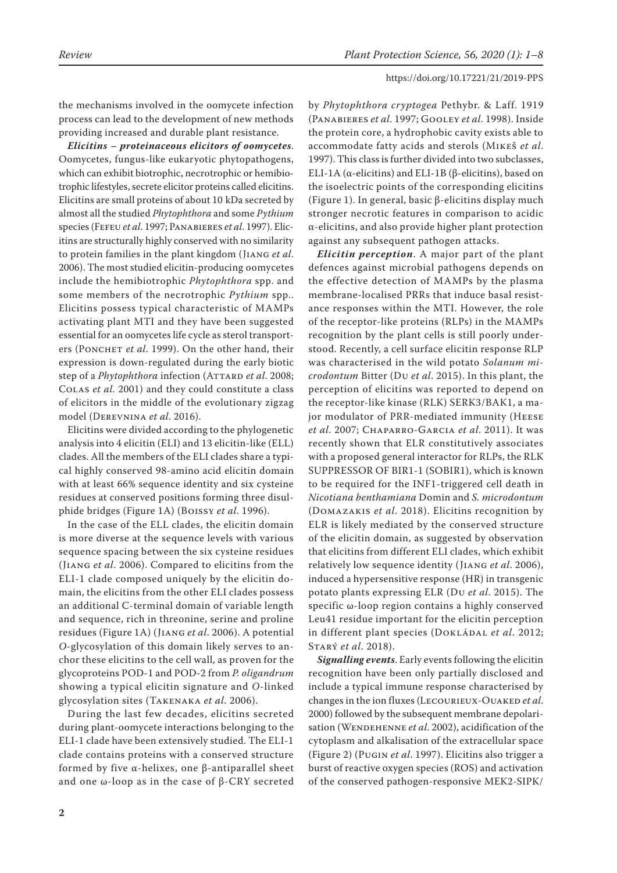the mechanisms involved in the oomycete infection process can lead to the development of new methods providing increased and durable plant resistance.

*Elicitins – proteinaceous elicitors of oomycetes*. Oomycetes, fungus-like eukaryotic phytopathogens, which can exhibit biotrophic, necrotrophic or hemibiotrophic lifestyles, secrete elicitor proteins called elicitins. Elicitins are small proteins of about 10 kDa secreted by almost all the studied *Phytophthora* and some *Pythium* species (Fefeu *et al*. 1997; Panabieres *et al*. 1997). Elicitins are structurally highly conserved with no similarity to protein families in the plant kingdom (Jiang *et al*. 2006). The most studied elicitin-producing oomycetes include the hemibiotrophic *Phytophthora* spp. and some members of the necrotrophic *Pythium* spp.. Elicitins possess typical characteristic of MAMPs activating plant MTI and they have been suggested essential for an oomycetes life cycle as sterol transporters (PONCHET *et al.* 1999). On the other hand, their expression is down-regulated during the early biotic step of a *Phytophthora* infection (ATTARD *et al.* 2008; Colas *et al*. 2001) and they could constitute a class of elicitors in the middle of the evolutionary zigzag model (Derevnina *et al*. 2016).

Elicitins were divided according to the phylogenetic analysis into 4 elicitin (ELI) and 13 elicitin-like (ELL) clades. All the members of the ELI clades share a typical highly conserved 98-amino acid elicitin domain with at least 66% sequence identity and six cysteine residues at conserved positions forming three disulphide bridges (Figure 1A) (Boissy *et al*. 1996).

In the case of the ELL clades, the elicitin domain is more diverse at the sequence levels with various sequence spacing between the six cysteine residues (Jiang *et al*. 2006). Compared to elicitins from the ELI-1 clade composed uniquely by the elicitin domain, the elicitins from the other ELI clades possess an additional C-terminal domain of variable length and sequence, rich in threonine, serine and proline residues (Figure 1A) (Jiang *et al*. 2006). A potential *O*-glycosylation of this domain likely serves to anchor these elicitins to the cell wall, as proven for the glycoproteins POD-1 and POD-2 from *P. oligandrum* showing a typical elicitin signature and *O*-linked glycosylation sites (Takenaka *et al*. 2006).

During the last few decades, elicitins secreted during plant-oomycete interactions belonging to the ELI-1 clade have been extensively studied. The ELI-1 clade contains proteins with a conserved structure formed by five α-helixes, one β-antiparallel sheet and one ω-loop as in the case of β-CRY secreted by *Phytophthora cryptogea* Pethybr. & Laff. 1919 (Panabieres *et al*. 1997; Gooley *et al*. 1998). Inside the protein core, a hydrophobic cavity exists able to accommodate fatty acids and sterols (Mikeš *et al*. 1997). This class is further divided into two subclasses, ELI-1A (α-elicitins) and ELI-1B (β-elicitins), based on the isoelectric points of the corresponding elicitins (Figure 1). In general, basic β-elicitins display much stronger necrotic features in comparison to acidic α-elicitins, and also provide higher plant protection against any subsequent pathogen attacks.

*Elicitin perception*. A major part of the plant defences against microbial pathogens depends on the effective detection of MAMPs by the plasma membrane-localised PRRs that induce basal resistance responses within the MTI. However, the role of the receptor-like proteins (RLPs) in the MAMPs recognition by the plant cells is still poorly understood. Recently, a cell surface elicitin response RLP was characterised in the wild potato *Solanum microdontum* Bitter (Du *et al*. 2015). In this plant, the perception of elicitins was reported to depend on the receptor-like kinase (RLK) SERK3/BAK1, a major modulator of PRR-mediated immunity (Heese *et al*. 2007; Chaparro-Garcia *et al*. 2011). It was recently shown that ELR constitutively associates with a proposed general interactor for RLPs, the RLK SUPPRESSOR OF BIR1-1 (SOBIR1), which is known to be required for the INF1-triggered cell death in *Nicotiana benthamiana* Domin and *S. microdontum*  (Domazakis *et al*. 2018). Elicitins recognition by ELR is likely mediated by the conserved structure of the elicitin domain, as suggested by observation that elicitins from different ELI clades, which exhibit relatively low sequence identity (Jiang *et al*. 2006), induced a hypersensitive response (HR) in transgenic potato plants expressing ELR (Du *et al*. 2015). The specific ω-loop region contains a highly conserved Leu41 residue important for the elicitin perception in different plant species (DOKLÁDAL et al. 2012; Starý *et al*. 2018).

*Signalling events*. Early events following the elicitin recognition have been only partially disclosed and include a typical immune response characterised by changes in the ion fluxes (LECOURIEUX-OUAKED et al. 2000) followed by the subsequent membrane depolarisation (WENDEHENNE et al. 2002), acidification of the cytoplasm and alkalisation of the extracellular space (Figure 2) (Pugin *et al*. 1997). Elicitins also trigger a burst of reactive oxygen species (ROS) and activation of the conserved pathogen-responsive MEK2-SIPK/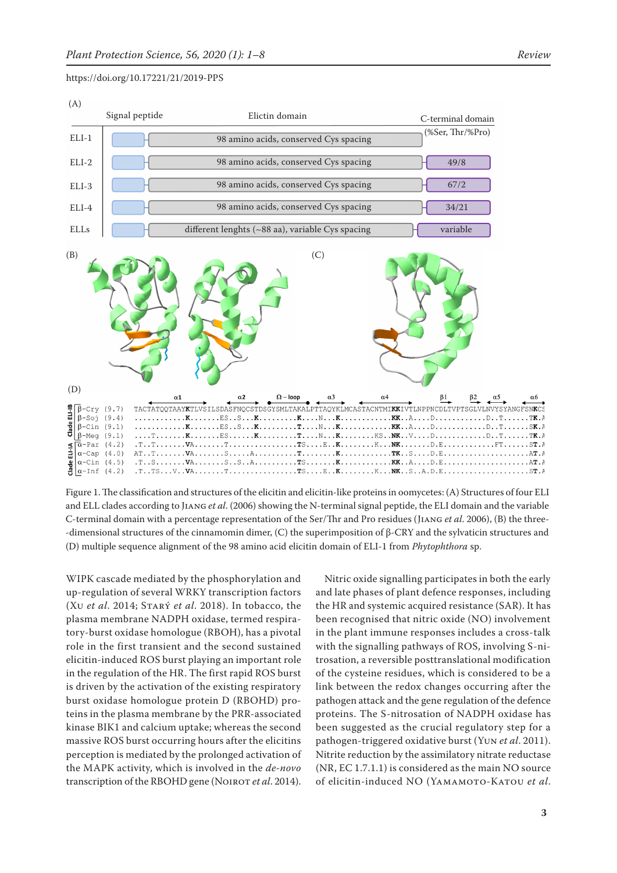

Figure 1. The classification and structures of the elicitin and elicitin-like proteins in oomycetes: (A) Structures of four ELI and ELL clades according to Jiang *et al*. (2006) showing the N-terminal signal peptide, the ELI domain and the variable C-terminal domain with a percentage representation of the Ser/Thr and Pro residues (Jiang *et al*. 2006), (B) the three- -dimensional structures of the cinnamomin dimer, (C) the superimposition of β-CRY and the sylvaticin structures and (D) multiple sequence alignment of the 98 amino acid elicitin domain of ELI-1 from *Phytophthora* sp.

WIPK cascade mediated by the phosphorylation and up-regulation of several WRKY transcription factors (Xu *et al*. 2014; Starý *et al*. 2018). In tobacco, the plasma membrane NADPH oxidase, termed respiratory-burst oxidase homologue (RBOH), has a pivotal role in the first transient and the second sustained elicitin-induced ROS burst playing an important role in the regulation of the HR. The first rapid ROS burst is driven by the activation of the existing respiratory burst oxidase homologue protein D (RBOHD) proteins in the plasma membrane by the PRR-associated kinase BIK1 and calcium uptake; whereas the second massive ROS burst occurring hours after the elicitins perception is mediated by the prolonged activation of the MAPK activity, which is involved in the *de-novo* transcription of the RBOHD gene (NOIROT et al. 2014).

Nitric oxide signalling participates in both the early and late phases of plant defence responses, including the HR and systemic acquired resistance (SAR). It has been recognised that nitric oxide (NO) involvement in the plant immune responses includes a cross-talk with the signalling pathways of ROS, involving S-nitrosation, a reversible posttranslational modification of the cysteine residues, which is considered to be a link between the redox changes occurring after the pathogen attack and the gene regulation of the defence proteins. The S-nitrosation of NADPH oxidase has been suggested as the crucial regulatory step for a pathogen-triggered oxidative burst (Yun *et al*. 2011). Nitrite reduction by the assimilatory nitrate reductase (NR, EC 1.7.1.1) is considered as the main NO source of elicitin-induced NO (Yamamoto-Katou *et al*.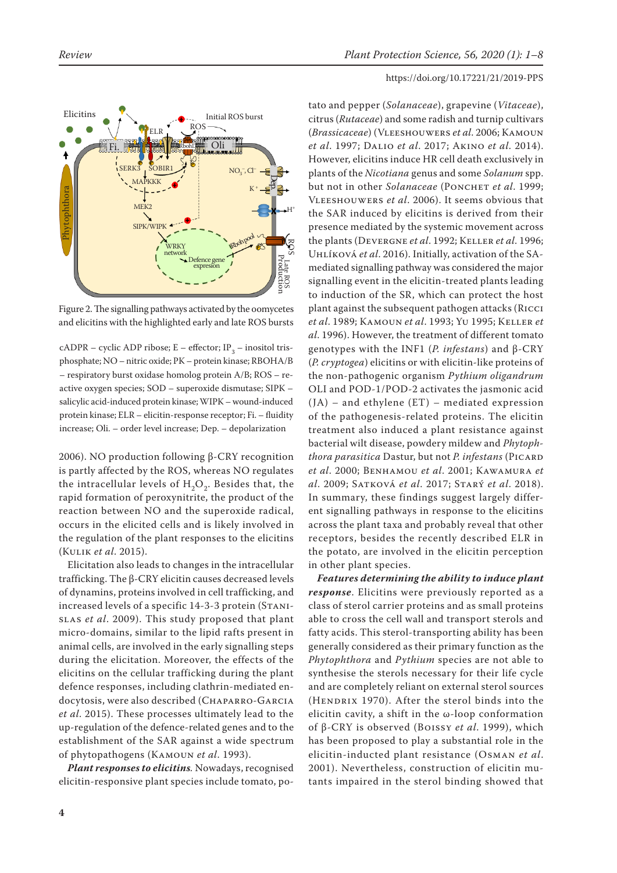

Figure 2. The signalling pathways activated by the oomycetes and elicitins with the highlighted early and late ROS bursts

 $c$ ADPR – cyclic ADP ribose; E – effector; IP<sub>2</sub> – inositol trisphosphate; NO – nitric oxide; PK – protein kinase; RBOHA/B – respiratory burst oxidase homolog protein A/B; ROS – reactive oxygen species; SOD – superoxide dismutase; SIPK – salicylic acid-induced protein kinase; WIPK – wound-induced protein kinase; ELR – elicitin-response receptor; Fi. – fluidity increase; Oli. – order level increase; Dep. – depolarization

2006). NO production following β-CRY recognition is partly affected by the ROS, whereas NO regulates the intracellular levels of  $H_2O_2$ . Besides that, the rapid formation of peroxynitrite, the product of the reaction between NO and the superoxide radical, occurs in the elicited cells and is likely involved in the regulation of the plant responses to the elicitins (Kulik *et al*. 2015).

Elicitation also leads to changes in the intracellular trafficking. The β-CRY elicitin causes decreased levels of dynamins, proteins involved in cell trafficking, and increased levels of a specific 14-3-3 protein (Stanislas *et al*. 2009). This study proposed that plant micro-domains, similar to the lipid rafts present in animal cells, are involved in the early signalling steps during the elicitation. Moreover, the effects of the elicitins on the cellular trafficking during the plant defence responses, including clathrin-mediated endocytosis, were also described (CHAPARRO-GARCIA *et al*. 2015). These processes ultimately lead to the up-regulation of the defence-related genes and to the establishment of the SAR against a wide spectrum of phytopathogens (Kamoun *et al*. 1993).

*Plant responses to elicitins.* Nowadays, recognised elicitin-responsive plant species include tomato, po-

# https://doi.org/10.17221/21/2019-PPS

tato and pepper (*Solanaceae*), grapevine (*Vitaceae*), citrus (*Rutaceae*) and some radish and turnip cultivars (*Brassicaceae*) (Vleeshouwers *et al*. 2006; Kamoun *et al*. 1997; Dalio *et al*. 2017; Akino *et al*. 2014). However, elicitins induce HR cell death exclusively in plants of the *Nicotiana* genus and some *Solanum* spp. but not in other *Solanaceae* (PONCHET *et al.* 1999; Vleeshouwers *et al*. 2006). It seems obvious that the SAR induced by elicitins is derived from their presence mediated by the systemic movement across the plants (Devergne *et al*. 1992; Keller *et al*. 1996; Uhlíková *et al*. 2016). Initially, activation of the SAmediated signalling pathway was considered the major signalling event in the elicitin-treated plants leading to induction of the SR, which can protect the host plant against the subsequent pathogen attacks (Ricci *et al*. 1989; Kamoun *et al*. 1993; Yu 1995; Keller *et al*. 1996). However, the treatment of different tomato genotypes with the INF1 (*P. infestans*) and β-CRY (*P. cryptogea*) elicitins or with elicitin-like proteins of the non-pathogenic organism *Pythium oligandrum* OLI and POD-1/POD-2 activates the jasmonic acid (JA) – and ethylene (ET) – mediated expression of the pathogenesis-related proteins. The elicitin treatment also induced a plant resistance against bacterial wilt disease, powdery mildew and *Phytophthora parasitica Dastur, but not P. infestans* (PICARD *et al*. 2000; Benhamou *et al*. 2001; Kawamura *et al*. 2009; Satková *et al*. 2017; Starý *et al*. 2018). In summary, these findings suggest largely different signalling pathways in response to the elicitins across the plant taxa and probably reveal that other receptors, besides the recently described ELR in the potato, are involved in the elicitin perception in other plant species.

*Features determining the ability to induce plant response*. Elicitins were previously reported as a class of sterol carrier proteins and as small proteins able to cross the cell wall and transport sterols and fatty acids. This sterol-transporting ability has been generally considered as their primary function as the *Phytophthora* and *Pythium* species are not able to synthesise the sterols necessary for their life cycle and are completely reliant on external sterol sources (HENDRIX 1970). After the sterol binds into the elicitin cavity, a shift in the ω-loop conformation of β-CRY is observed (Boissy *et al*. 1999), which has been proposed to play a substantial role in the elicitin-inducted plant resistance (Osman *et al*. 2001). Nevertheless, construction of elicitin mutants impaired in the sterol binding showed that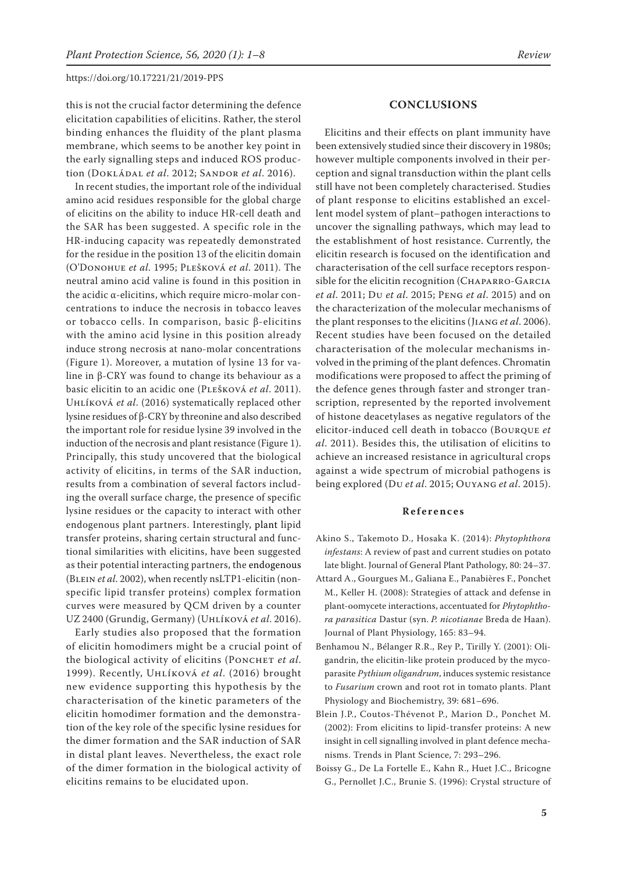this is not the crucial factor determining the defence elicitation capabilities of elicitins. Rather, the sterol binding enhances the fluidity of the plant plasma membrane, which seems to be another key point in the early signalling steps and induced ROS production (Dokládal *et al*. 2012; Sandor *et al*. 2016).

In recent studies, the important role of the individual amino acid residues responsible for the global charge of elicitins on the ability to induce HR-cell death and the SAR has been suggested. A specific role in the HR-inducing capacity was repeatedly demonstrated for the residue in the position 13 of the elicitin domain (O'Donohue *et al*. 1995; Plešková *et al*. 2011). The neutral amino acid valine is found in this position in the acidic α-elicitins, which require micro-molar concentrations to induce the necrosis in tobacco leaves or tobacco cells. In comparison, basic β-elicitins with the amino acid lysine in this position already induce strong necrosis at nano-molar concentrations (Figure 1). Moreover, a mutation of lysine 13 for valine in β-CRY was found to change its behaviour as a basic elicitin to an acidic one (Plešková *et al*. 2011). Uhlíková *et al*. (2016) systematically replaced other lysine residues of β-CRY by threonine and also described the important role for residue lysine 39 involved in the induction of the necrosis and plant resistance (Figure 1). Principally, this study uncovered that the biological activity of elicitins, in terms of the SAR induction, results from a combination of several factors including the overall surface charge, the presence of specific lysine residues or the capacity to interact with other endogenous plant partners. Interestingly, plant lipid transfer proteins, sharing certain structural and functional similarities with elicitins, have been suggested as their potential interacting partners, the endogenous (Blein *et al*. 2002), when recently nsLTP1-elicitin (nonspecific lipid transfer proteins) complex formation curves were measured by QCM driven by a counter UZ 2400 (Grundig, Germany) (Uhlíková *et al*. 2016).

Early studies also proposed that the formation of elicitin homodimers might be a crucial point of the biological activity of elicitins (PONCHET *et al.*) 1999). Recently, Uhlíková *et al*. (2016) brought new evidence supporting this hypothesis by the characterisation of the kinetic parameters of the elicitin homodimer formation and the demonstration of the key role of the specific lysine residues for the dimer formation and the SAR induction of SAR in distal plant leaves. Nevertheless, the exact role of the dimer formation in the biological activity of elicitins remains to be elucidated upon.

## **CONCLUSIONS**

Elicitins and their effects on plant immunity have been extensively studied since their discovery in 1980s; however multiple components involved in their perception and signal transduction within the plant cells still have not been completely characterised. Studies of plant response to elicitins established an excellent model system of plant–pathogen interactions to uncover the signalling pathways, which may lead to the establishment of host resistance. Currently, the elicitin research is focused on the identification and characterisation of the cell surface receptors responsible for the elicitin recognition (CHAPARRO-GARCIA *et al*. 2011; Du *et al*. 2015; Peng *et al*. 2015) and on the characterization of the molecular mechanisms of the plant responses to the elicitins (Jiang *et al*. 2006). Recent studies have been focused on the detailed characterisation of the molecular mechanisms involved in the priming of the plant defences. Chromatin modifications were proposed to affect the priming of the defence genes through faster and stronger transcription, represented by the reported involvement of histone deacetylases as negative regulators of the elicitor-induced cell death in tobacco (Bourque *et al*. 2011). Besides this, the utilisation of elicitins to achieve an increased resistance in agricultural crops against a wide spectrum of microbial pathogens is being explored (Du *et al*. 2015; Ouyang *et al*. 2015).

#### **References**

- Akino S., Takemoto D., Hosaka K. (2014): *Phytophthora infestans*: A review of past and current studies on potato late blight. Journal of General Plant Pathology, 80: 24–37.
- Attard A., Gourgues M., Galiana E., Panabières F., Ponchet M., Keller H. (2008): Strategies of attack and defense in plant-oomycete interactions, accentuated for *Phytophthora parasitica* Dastur (syn. *P. nicotianae* Breda de Haan). Journal of Plant Physiology, 165: 83–94.
- Benhamou N., Bélanger R.R., Rey P., Tirilly Y. (2001): Oligandrin, the elicitin-like protein produced by the mycoparasite *Pythium oligandrum*, induces systemic resistance to *Fusarium* crown and root rot in tomato plants. Plant Physiology and Biochemistry, 39: 681–696.
- Blein J.P., Coutos-Thévenot P., Marion D., Ponchet M. (2002): From elicitins to lipid-transfer proteins: A new insight in cell signalling involved in plant defence mechanisms. Trends in Plant Science, 7: 293–296.
- Boissy G., De La Fortelle E., Kahn R., Huet J.C., Bricogne G., Pernollet J.C., Brunie S. (1996): Crystal structure of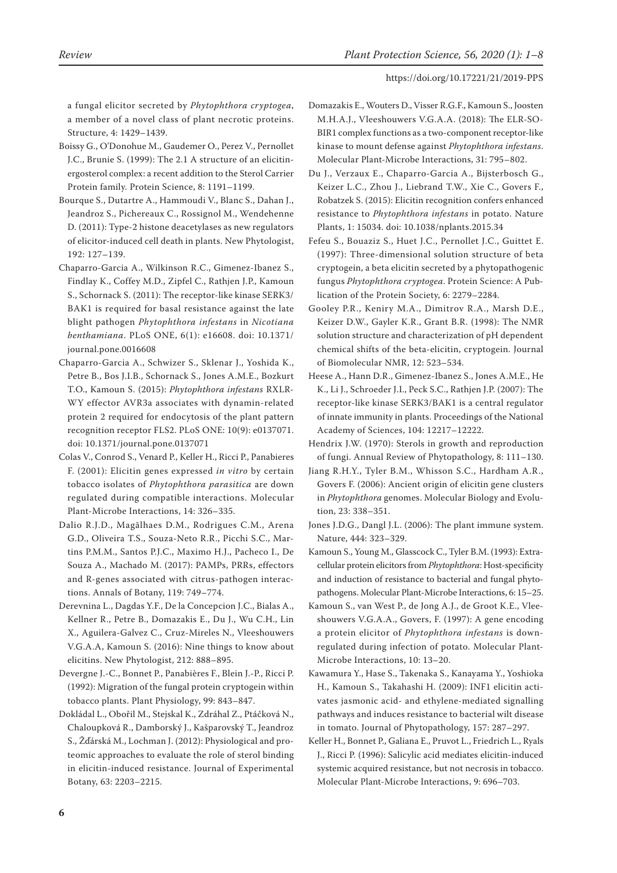a fungal elicitor secreted by *Phytophthora cryptogea*, a member of a novel class of plant necrotic proteins. Structure, 4: 1429–1439.

- Boissy G., O'Donohue M., Gaudemer O., Perez V., Pernollet J.C., Brunie S. (1999): The 2.1 A structure of an elicitinergosterol complex: a recent addition to the Sterol Carrier Protein family. Protein Science, 8: 1191–1199.
- Bourque S., Dutartre A., Hammoudi V., Blanc S., Dahan J., Jeandroz S., Pichereaux C., Rossignol M., Wendehenne D. (2011): Type-2 histone deacetylases as new regulators of elicitor-induced cell death in plants. New Phytologist, 192: 127–139.
- Chaparro-Garcia A., Wilkinson R.C., Gimenez-Ibanez S., Findlay K., Coffey M.D., Zipfel C., Rathjen J.P., Kamoun S., Schornack S. (2011): The receptor-like kinase SERK3/ BAK1 is required for basal resistance against the late blight pathogen *Phytophthora infestans* in *Nicotiana benthamiana*. PLoS ONE, 6(1): e16608. doi: 10.1371/ journal.pone.0016608
- Chaparro-Garcia A., Schwizer S., Sklenar J., Yoshida K., Petre B., Bos J.I.B., Schornack S., Jones A.M.E., Bozkurt T.O., Kamoun S. (2015): *Phytophthora infestans* RXLR-WY effector AVR3a associates with dynamin-related protein 2 required for endocytosis of the plant pattern recognition receptor FLS2. PLoS ONE: 10(9): e0137071. doi: 10.1371/journal.pone.0137071
- Colas V., Conrod S., Venard P., Keller H., Ricci P., Panabieres F. (2001): Elicitin genes expressed *in vitro* by certain tobacco isolates of *Phytophthora parasitica* are down regulated during compatible interactions. Molecular Plant-Microbe Interactions, 14: 326–335.
- Dalio R.J.D., Magãlhaes D.M., Rodrigues C.M., Arena G.D., Oliveira T.S., Souza-Neto R.R., Picchi S.C., Martins P.M.M., Santos P.J.C., Maximo H.J., Pacheco I., De Souza A., Machado M. (2017): PAMPs, PRRs, effectors and R-genes associated with citrus-pathogen interactions. Annals of Botany, 119: 749–774.
- Derevnina L., Dagdas Y.F., De la Concepcion J.C., Bialas A., Kellner R., Petre B., Domazakis E., Du J., Wu C.H., Lin X., Aguilera-Galvez C., Cruz-Mireles N., Vleeshouwers V.G.A.A, Kamoun S. (2016): Nine things to know about elicitins. New Phytologist, 212: 888–895.
- Devergne J.-C., Bonnet P., Panabières F., Blein J.-P., Ricci P. (1992): Migration of the fungal protein cryptogein within tobacco plants. Plant Physiology, 99: 843–847.
- Dokládal L., Obořil M., Stejskal K., Zdráhal Z., Ptáčková N., Chaloupková R., Damborský J., Kašparovský T., Jeandroz S., Žďárská M., Lochman J. (2012): Physiological and proteomic approaches to evaluate the role of sterol binding in elicitin-induced resistance. Journal of Experimental Botany, 63: 2203–2215.
- Domazakis E., Wouters D., Visser R.G.F., Kamoun S., Joosten M.H.A.J., Vleeshouwers V.G.A.A. (2018): The ELR-SO-BIR1 complex functions as a two-component receptor-like kinase to mount defense against *Phytophthora infestans*. Molecular Plant-Microbe Interactions, 31: 795–802.
- Du J., Verzaux E., Chaparro-Garcia A., Bijsterbosch G., Keizer L.C., Zhou J., Liebrand T.W., Xie C., Govers F., Robatzek S. (2015): Elicitin recognition confers enhanced resistance to *Phytophthora infestans* in potato. Nature Plants, 1: 15034. doi: 10.1038/nplants.2015.34
- Fefeu S., Bouaziz S., Huet J.C., Pernollet J.C., Guittet E. (1997): Three-dimensional solution structure of beta cryptogein, a beta elicitin secreted by a phytopathogenic fungus *Phytophthora cryptogea*. Protein Science: A Publication of the Protein Society, 6: 2279–2284.
- Gooley P.R., Keniry M.A., Dimitrov R.A., Marsh D.E., Keizer D.W., Gayler K.R., Grant B.R. (1998): The NMR solution structure and characterization of pH dependent chemical shifts of the beta-elicitin, cryptogein. Journal of Biomolecular NMR, 12: 523–534.
- Heese A., Hann D.R., Gimenez-Ibanez S., Jones A.M.E., He K., Li J., Schroeder J.I., Peck S.C., Rathjen J.P. (2007): The receptor-like kinase SERK3/BAK1 is a central regulator of innate immunity in plants. Proceedings of the National Academy of Sciences, 104: 12217–12222.
- Hendrix J.W. (1970): Sterols in growth and reproduction of fungi. Annual Review of Phytopathology, 8: 111–130.
- Jiang R.H.Y., Tyler B.M., Whisson S.C., Hardham A.R., Govers F. (2006): Ancient origin of elicitin gene clusters in *Phytophthora* genomes. Molecular Biology and Evolution, 23: 338–351.

Jones J.D.G., Dangl J.L. (2006): The plant immune system. Nature, 444: 323–329.

- Kamoun S., Young M., Glasscock C., Tyler B.M. (1993): Extracellular protein elicitors from *Phytophthora*: Host-specificity and induction of resistance to bacterial and fungal phytopathogens. Molecular Plant-Microbe Interactions, 6: 15–25.
- Kamoun S., van West P., de Jong A.J., de Groot K.E., Vleeshouwers V.G.A.A., Govers, F. (1997): A gene encoding a protein elicitor of *Phytophthora infestans* is downregulated during infection of potato. Molecular Plant-Microbe Interactions, 10: 13–20.
- Kawamura Y., Hase S., Takenaka S., Kanayama Y., Yoshioka H., Kamoun S., Takahashi H. (2009): INF1 elicitin activates jasmonic acid- and ethylene-mediated signalling pathways and induces resistance to bacterial wilt disease in tomato. Journal of Phytopathology, 157: 287–297.
- Keller H., Bonnet P., Galiana E., Pruvot L., Friedrich L., Ryals J., Ricci P. (1996): Salicylic acid mediates elicitin-induced systemic acquired resistance, but not necrosis in tobacco. Molecular Plant-Microbe Interactions, 9: 696–703.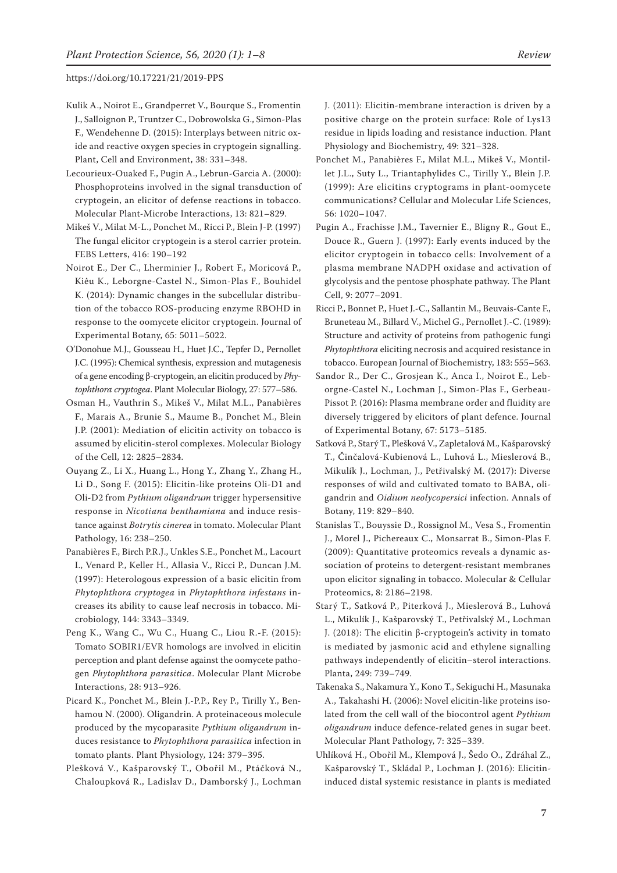- Kulik A., Noirot E., Grandperret V., Bourque S., Fromentin J., Salloignon P., Truntzer C., Dobrowolska G., Simon-Plas F., Wendehenne D. (2015): Interplays between nitric oxide and reactive oxygen species in cryptogein signalling. Plant, Cell and Environment, 38: 331–348.
- Lecourieux-Ouaked F., Pugin A., Lebrun-Garcia A. (2000): Phosphoproteins involved in the signal transduction of cryptogein, an elicitor of defense reactions in tobacco. Molecular Plant-Microbe Interactions, 13: 821–829.
- Mikeš V., Milat M-L., Ponchet M., Ricci P., Blein J-P. (1997) The fungal elicitor cryptogein is a sterol carrier protein. FEBS Letters, 416: 190–192
- Noirot E., Der C., Lherminier J., Robert F., Moricová P., Kiêu K., Leborgne-Castel N., Simon-Plas F., Bouhidel K. (2014): Dynamic changes in the subcellular distribution of the tobacco ROS-producing enzyme RBOHD in response to the oomycete elicitor cryptogein. Journal of Experimental Botany, 65: 5011–5022.
- O'Donohue M.J., Gousseau H., Huet J.C., Tepfer D., Pernollet J.C. (1995): Chemical synthesis, expression and mutagenesis of a gene encoding β-cryptogein, an elicitin produced by *Phytophthora cryptogea*. Plant Molecular Biology, 27: 577–586.
- Osman H., Vauthrin S., Mikeš V., Milat M.L., Panabières F., Marais A., Brunie S., Maume B., Ponchet M., Blein J.P. (2001): Mediation of elicitin activity on tobacco is assumed by elicitin-sterol complexes. Molecular Biology of the Cell, 12: 2825–2834.
- Ouyang Z., Li X., Huang L., Hong Y., Zhang Y., Zhang H., Li D., Song F. (2015): Elicitin-like proteins Oli-D1 and Oli-D2 from *Pythium oligandrum* trigger hypersensitive response in *Nicotiana benthamiana* and induce resistance against *Botrytis cinerea* in tomato. Molecular Plant Pathology, 16: 238–250.
- Panabières F., Birch P.R.J., Unkles S.E., Ponchet M., Lacourt I., Venard P., Keller H., Allasia V., Ricci P., Duncan J.M. (1997): Heterologous expression of a basic elicitin from *Phytophthora cryptogea* in *Phytophthora infestans* increases its ability to cause leaf necrosis in tobacco. Microbiology, 144: 3343–3349.
- Peng K., Wang C., Wu C., Huang C., Liou R.-F. (2015): Tomato SOBIR1/EVR homologs are involved in elicitin perception and plant defense against the oomycete pathogen *Phytophthora parasitica*. Molecular Plant Microbe Interactions, 28: 913–926.
- Picard K., Ponchet M., Blein J.-P.P., Rey P., Tirilly Y., Benhamou N. (2000). Oligandrin. A proteinaceous molecule produced by the mycoparasite *Pythium oligandrum* induces resistance to *Phytophthora parasitica* infection in tomato plants. Plant Physiology, 124: 379–395.
- Plešková V., Kašparovský T., Obořil M., Ptáčková N., Chaloupková R., Ladislav D., Damborský J., Lochman

J. (2011): Elicitin-membrane interaction is driven by a positive charge on the protein surface: Role of Lys13 residue in lipids loading and resistance induction. Plant Physiology and Biochemistry, 49: 321–328.

- Ponchet M., Panabières F., Milat M.L., Mikeš V., Montillet J.L., Suty L., Triantaphylides C., Tirilly Y., Blein J.P. (1999): Are elicitins cryptograms in plant-oomycete communications? Cellular and Molecular Life Sciences, 56: 1020–1047.
- Pugin A., Frachisse J.M., Tavernier E., Bligny R., Gout E., Douce R., Guern J. (1997): Early events induced by the elicitor cryptogein in tobacco cells: Involvement of a plasma membrane NADPH oxidase and activation of glycolysis and the pentose phosphate pathway. The Plant Cell, 9: 2077–2091.
- Ricci P., Bonnet P., Huet J.-C., Sallantin M., Beuvais-Cante F., Bruneteau M., Billard V., Michel G., Pernollet J.-C. (1989): Structure and activity of proteins from pathogenic fungi *Phytophthora* eliciting necrosis and acquired resistance in tobacco. European Journal of Biochemistry, 183: 555–563.
- Sandor R., Der C., Grosjean K., Anca I., Noirot E., Leborgne-Castel N., Lochman J., Simon-Plas F., Gerbeau-Pissot P. (2016): Plasma membrane order and fluidity are diversely triggered by elicitors of plant defence. Journal of Experimental Botany, 67: 5173–5185.
- Satková P., Starý T., Plešková V., Zapletalová M., Kašparovský T., Činčalová-Kubienová L., Luhová L., Mieslerová B., Mikulík J., Lochman, J., Petřivalský M. (2017): Diverse responses of wild and cultivated tomato to BABA, oligandrin and *Oidium neolycopersici* infection. Annals of Botany, 119: 829–840.
- Stanislas T., Bouyssie D., Rossignol M., Vesa S., Fromentin J., Morel J., Pichereaux C., Monsarrat B., Simon-Plas F. (2009): Quantitative proteomics reveals a dynamic association of proteins to detergent-resistant membranes upon elicitor signaling in tobacco. Molecular & Cellular Proteomics, 8: 2186–2198.
- Starý T., Satková P., Piterková J., Mieslerová B., Luhová L., Mikulík J., Kašparovský T., Petřivalský M., Lochman J. (2018): The elicitin β-cryptogein's activity in tomato is mediated by jasmonic acid and ethylene signalling pathways independently of elicitin–sterol interactions. Planta, 249: 739–749.
- Takenaka S., Nakamura Y., Kono T., Sekiguchi H., Masunaka A., Takahashi H. (2006): Novel elicitin-like proteins isolated from the cell wall of the biocontrol agent *Pythium oligandrum* induce defence-related genes in sugar beet. Molecular Plant Pathology, 7: 325–339.
- Uhlíková H., Obořil M., Klempová J., Šedo O., Zdráhal Z., Kašparovský T., Skládal P., Lochman J. (2016): Elicitininduced distal systemic resistance in plants is mediated